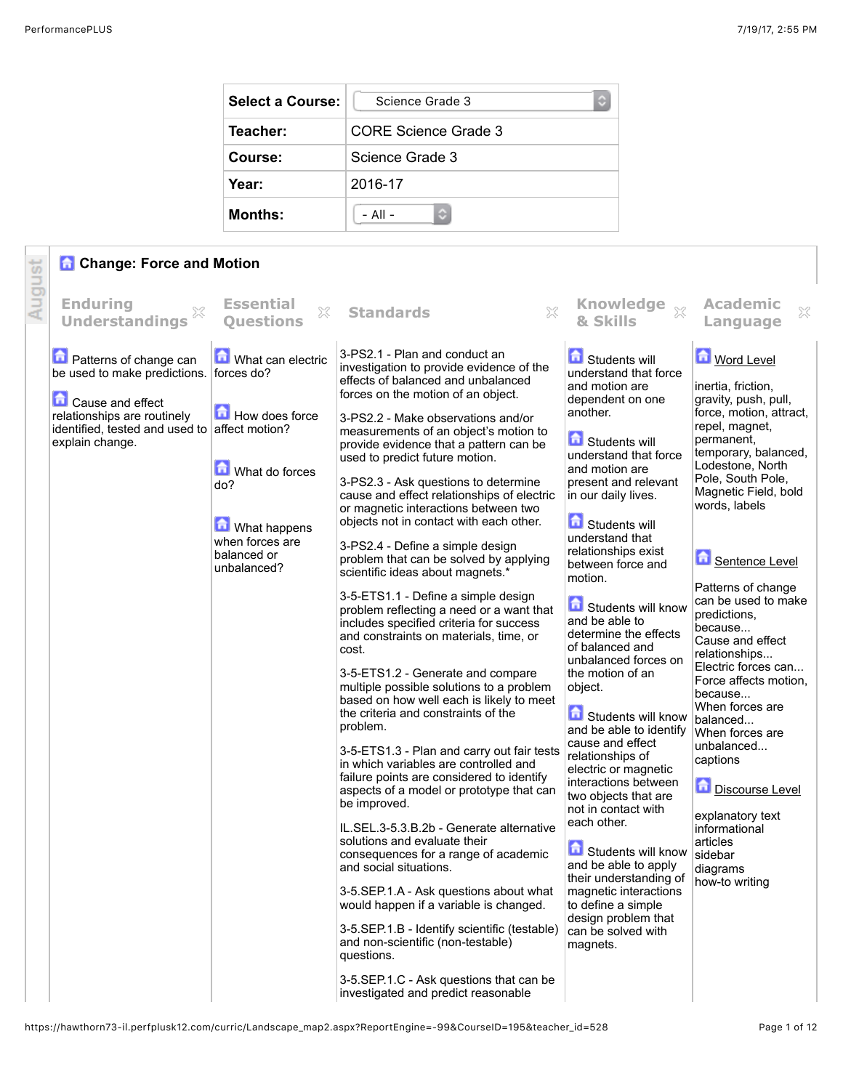| <b>Select a Course:</b> | Science Grade 3<br>≎ |
|-------------------------|----------------------|
| Teacher:                | CORE Science Grade 3 |
| Course:                 | Science Grade 3      |
| Year:                   | 2016-17              |
| <b>Months:</b>          | $-$ All $-$          |

## **Change: Force and Motion**

|        | <b>Change: Force and Motion</b>                                                                                                                                                                   |                                                                                                                               |                                                                                                                                                                                                                                                                                                                                                                                                                                                                                                                                                                                                                                                                                                                                                                                                                                                                                                                                                                                                                                                                                                                                                                                                                                                                                                                                                                                                                                                                                                                                                                                                     |                                                                                                                                                                                                                                                                                                                                                                                                                                                                                                                                                                                                                                                                                                                                                                                                                                           |                                                                                                                                                                                                                                                                                                                                                                                                                                                                                                                                                                                                                         |
|--------|---------------------------------------------------------------------------------------------------------------------------------------------------------------------------------------------------|-------------------------------------------------------------------------------------------------------------------------------|-----------------------------------------------------------------------------------------------------------------------------------------------------------------------------------------------------------------------------------------------------------------------------------------------------------------------------------------------------------------------------------------------------------------------------------------------------------------------------------------------------------------------------------------------------------------------------------------------------------------------------------------------------------------------------------------------------------------------------------------------------------------------------------------------------------------------------------------------------------------------------------------------------------------------------------------------------------------------------------------------------------------------------------------------------------------------------------------------------------------------------------------------------------------------------------------------------------------------------------------------------------------------------------------------------------------------------------------------------------------------------------------------------------------------------------------------------------------------------------------------------------------------------------------------------------------------------------------------------|-------------------------------------------------------------------------------------------------------------------------------------------------------------------------------------------------------------------------------------------------------------------------------------------------------------------------------------------------------------------------------------------------------------------------------------------------------------------------------------------------------------------------------------------------------------------------------------------------------------------------------------------------------------------------------------------------------------------------------------------------------------------------------------------------------------------------------------------|-------------------------------------------------------------------------------------------------------------------------------------------------------------------------------------------------------------------------------------------------------------------------------------------------------------------------------------------------------------------------------------------------------------------------------------------------------------------------------------------------------------------------------------------------------------------------------------------------------------------------|
| August | <b>Enduring</b><br><b>Understandings</b>                                                                                                                                                          | <b>Essential</b><br>X<br><b>Ouestions</b>                                                                                     | 33<br><b>Standards</b>                                                                                                                                                                                                                                                                                                                                                                                                                                                                                                                                                                                                                                                                                                                                                                                                                                                                                                                                                                                                                                                                                                                                                                                                                                                                                                                                                                                                                                                                                                                                                                              | & Skills                                                                                                                                                                                                                                                                                                                                                                                                                                                                                                                                                                                                                                                                                                                                                                                                                                  | <b>Academic</b><br>×<br>Language                                                                                                                                                                                                                                                                                                                                                                                                                                                                                                                                                                                        |
|        | <b>n</b> Patterns of change can<br>be used to make predictions. forces do?<br>Cause and effect<br>relationships are routinely<br>identified, tested and used to affect motion?<br>explain change. | What can electric<br>How does force<br>What do forces<br>do?<br>What happens<br>when forces are<br>balanced or<br>unbalanced? | 3-PS2.1 - Plan and conduct an<br>investigation to provide evidence of the<br>effects of balanced and unbalanced<br>forces on the motion of an object.<br>3-PS2.2 - Make observations and/or<br>measurements of an object's motion to<br>provide evidence that a pattern can be<br>used to predict future motion.<br>3-PS2.3 - Ask questions to determine<br>cause and effect relationships of electric<br>or magnetic interactions between two<br>objects not in contact with each other.<br>3-PS2.4 - Define a simple design<br>problem that can be solved by applying<br>scientific ideas about magnets.*<br>3-5-ETS1.1 - Define a simple design<br>problem reflecting a need or a want that<br>includes specified criteria for success<br>and constraints on materials, time, or<br>cost.<br>3-5-ETS1.2 - Generate and compare<br>multiple possible solutions to a problem<br>based on how well each is likely to meet<br>the criteria and constraints of the<br>problem.<br>3-5-ETS1.3 - Plan and carry out fair tests<br>in which variables are controlled and<br>failure points are considered to identify<br>aspects of a model or prototype that can<br>be improved.<br>IL.SEL.3-5.3.B.2b - Generate alternative<br>solutions and evaluate their<br>consequences for a range of academic<br>and social situations.<br>3-5.SEP.1.A - Ask questions about what<br>would happen if a variable is changed.<br>3-5.SEP.1.B - Identify scientific (testable)<br>and non-scientific (non-testable)<br>questions.<br>3-5.SEP.1.C - Ask questions that can be<br>investigated and predict reasonable | Students will<br>understand that force<br>and motion are<br>dependent on one<br>another.<br><b>B</b> Students will<br>understand that force<br>and motion are<br>present and relevant<br>in our daily lives.<br>Students will<br>understand that<br>relationships exist<br>between force and<br>motion.<br>Students will know<br>and be able to<br>determine the effects<br>of balanced and<br>unbalanced forces on<br>the motion of an<br>object.<br>Students will know<br>and be able to identify<br>cause and effect<br>relationships of<br>electric or magnetic<br>interactions between<br>two objects that are<br>not in contact with<br>each other.<br>Students will know<br>and be able to apply<br>their understanding of<br>magnetic interactions<br>to define a simple<br>design problem that<br>can be solved with<br>magnets. | <b>Mord Level</b><br>inertia, friction,<br>gravity, push, pull,<br>force, motion, attract,<br>repel, magnet,<br>permanent,<br>temporary, balanced,<br>Lodestone, North<br>Pole, South Pole,<br>Magnetic Field, bold<br>words, labels<br>Sentence Level<br>Patterns of change<br>can be used to make<br>predictions,<br>because<br>Cause and effect<br>relationships<br>Electric forces can<br>Force affects motion,<br>because<br>When forces are<br>balanced<br>When forces are<br>unbalanced<br>captions<br>Discourse Level<br>explanatory text<br>informational<br>articles<br>sidebar<br>diagrams<br>how-to writing |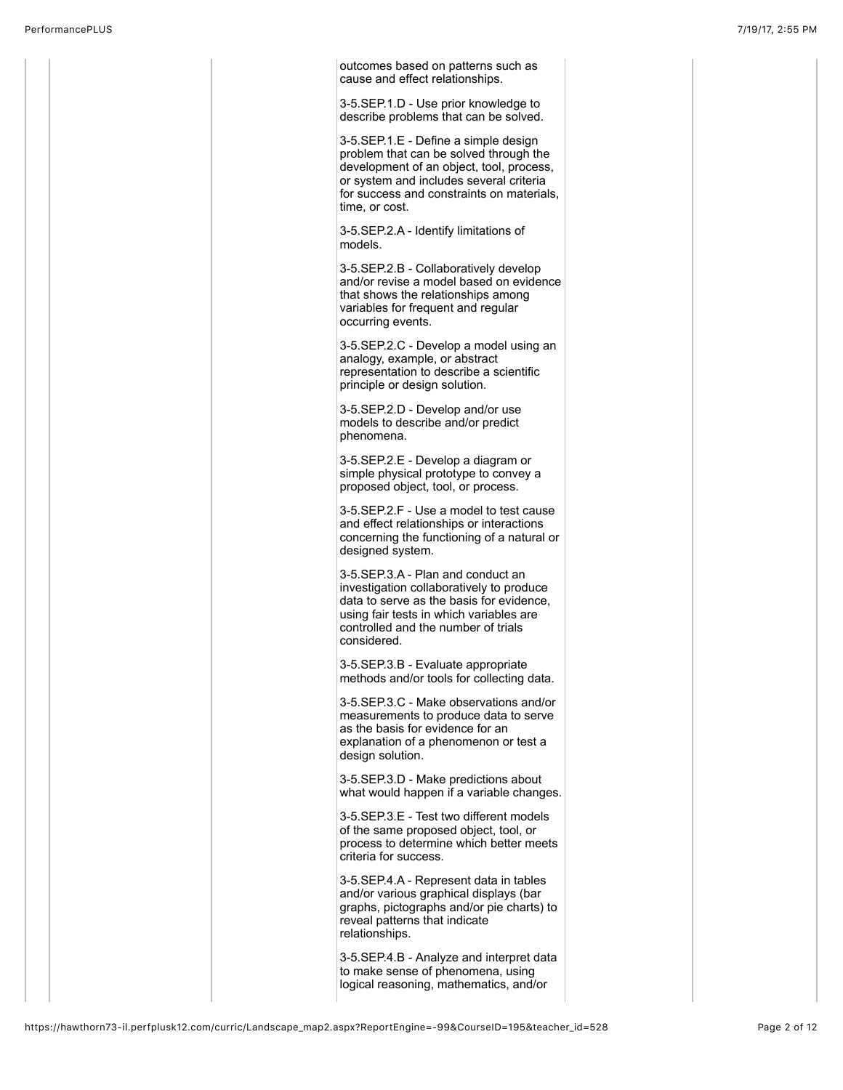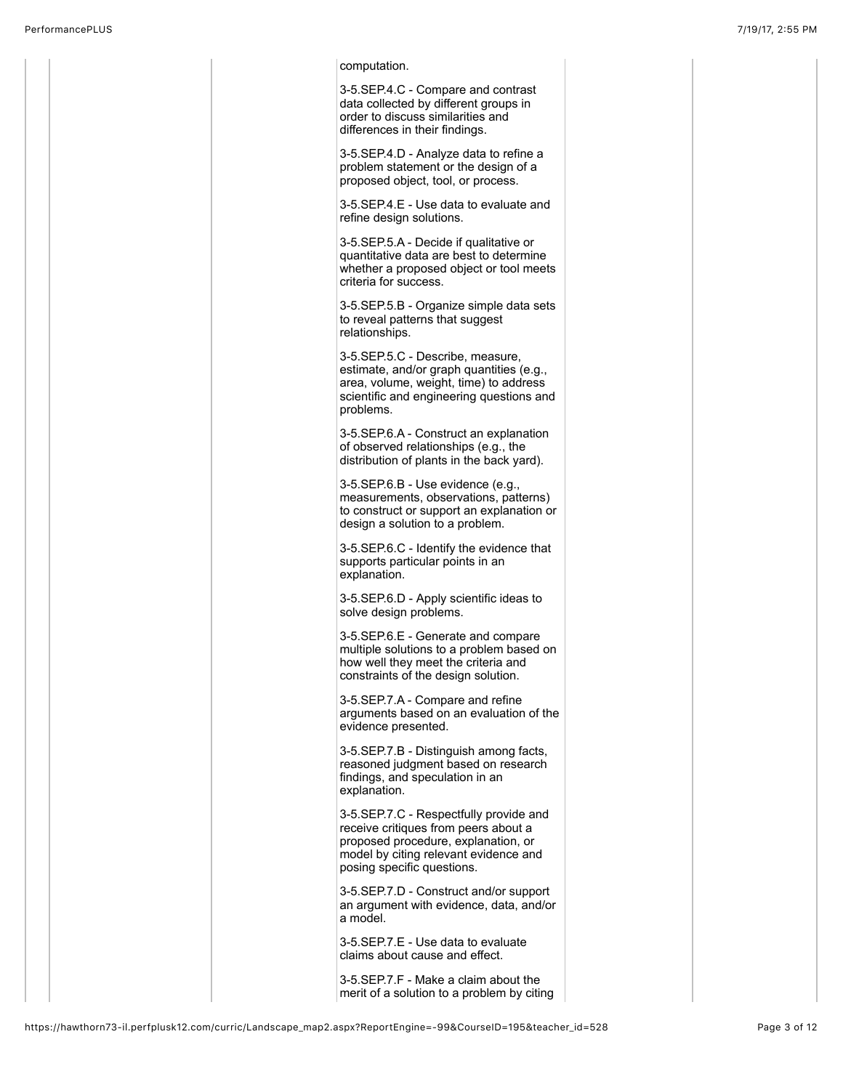| computation.                                                                                                                                                                                 |  |
|----------------------------------------------------------------------------------------------------------------------------------------------------------------------------------------------|--|
| 3-5.SEP.4.C - Compare and contrast<br>data collected by different groups in<br>order to discuss similarities and<br>differences in their findings.                                           |  |
| 3-5. SEP. 4. D - Analyze data to refine a<br>problem statement or the design of a<br>proposed object, tool, or process.                                                                      |  |
| 3-5.SEP.4.E - Use data to evaluate and<br>refine design solutions.                                                                                                                           |  |
| 3-5.SEP.5.A - Decide if qualitative or<br>quantitative data are best to determine<br>whether a proposed object or tool meets<br>criteria for success.                                        |  |
| 3-5.SEP.5.B - Organize simple data sets<br>to reveal patterns that suggest<br>relationships.                                                                                                 |  |
| 3-5.SEP.5.C - Describe, measure,<br>estimate, and/or graph quantities (e.g.,<br>area, volume, weight, time) to address<br>scientific and engineering questions and<br>problems.              |  |
| 3-5.SEP.6.A - Construct an explanation<br>of observed relationships (e.g., the<br>distribution of plants in the back yard).                                                                  |  |
| 3-5.SEP.6.B - Use evidence (e.g.,<br>measurements, observations, patterns)<br>to construct or support an explanation or<br>design a solution to a problem.                                   |  |
| 3-5.SEP.6.C - Identify the evidence that<br>supports particular points in an<br>explanation.                                                                                                 |  |
| 3-5.SEP.6.D - Apply scientific ideas to<br>solve design problems.                                                                                                                            |  |
| 3-5.SEP.6.E - Generate and compare<br>multiple solutions to a problem based on<br>how well they meet the criteria and<br>constraints of the design solution.                                 |  |
| 3-5.SEP.7.A - Compare and refine<br>arguments based on an evaluation of the<br>evidence presented.                                                                                           |  |
| 3-5.SEP.7.B - Distinguish among facts,<br>reasoned judgment based on research<br>findings, and speculation in an<br>explanation.                                                             |  |
| 3-5.SEP.7.C - Respectfully provide and<br>receive critiques from peers about a<br>proposed procedure, explanation, or<br>model by citing relevant evidence and<br>posing specific questions. |  |
| 3-5.SEP.7.D - Construct and/or support<br>an argument with evidence, data, and/or<br>a model.                                                                                                |  |
| 3-5. SEP. 7. E - Use data to evaluate<br>claims about cause and effect.                                                                                                                      |  |
| 3-5.SEP.7.F - Make a claim about the<br>merit of a solution to a problem by citing                                                                                                           |  |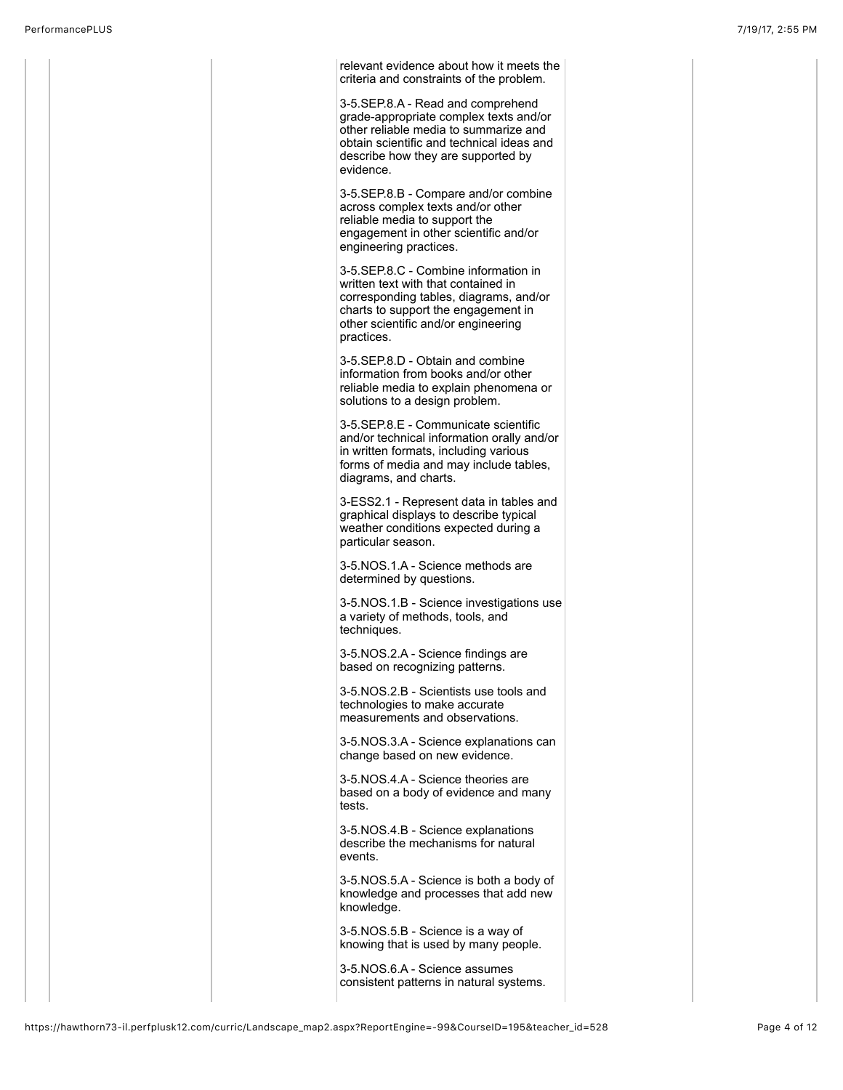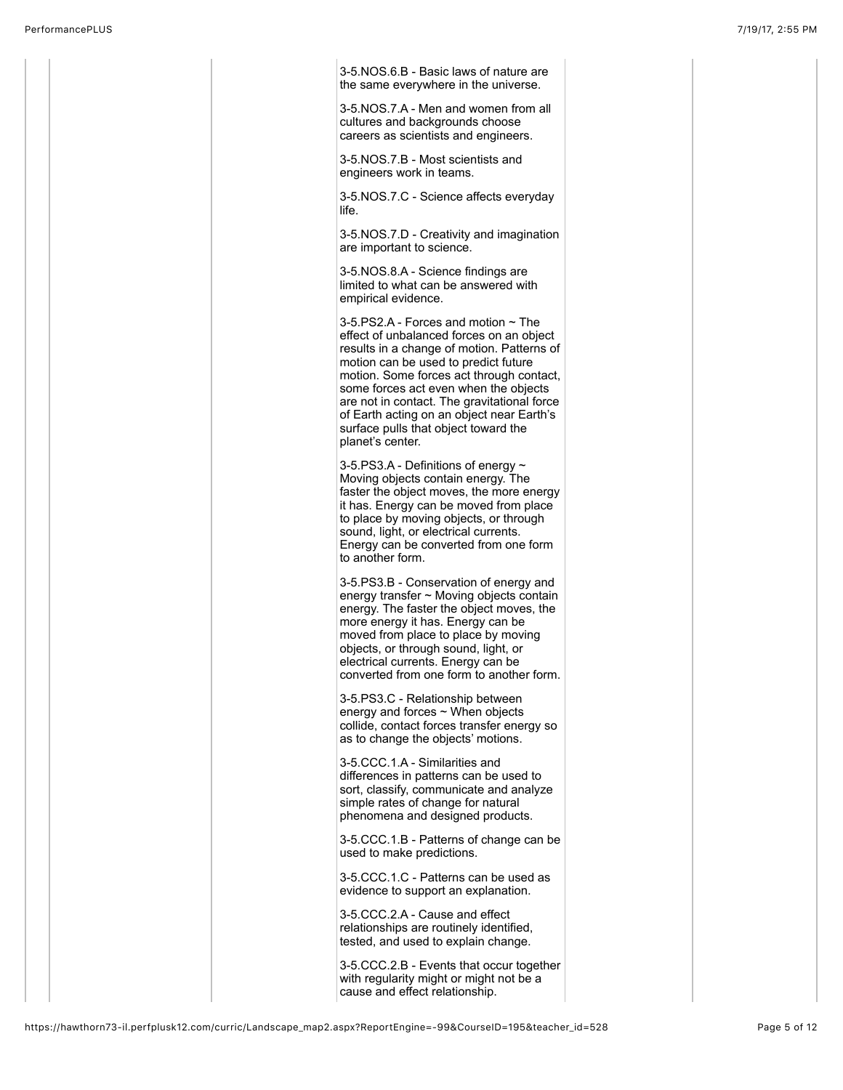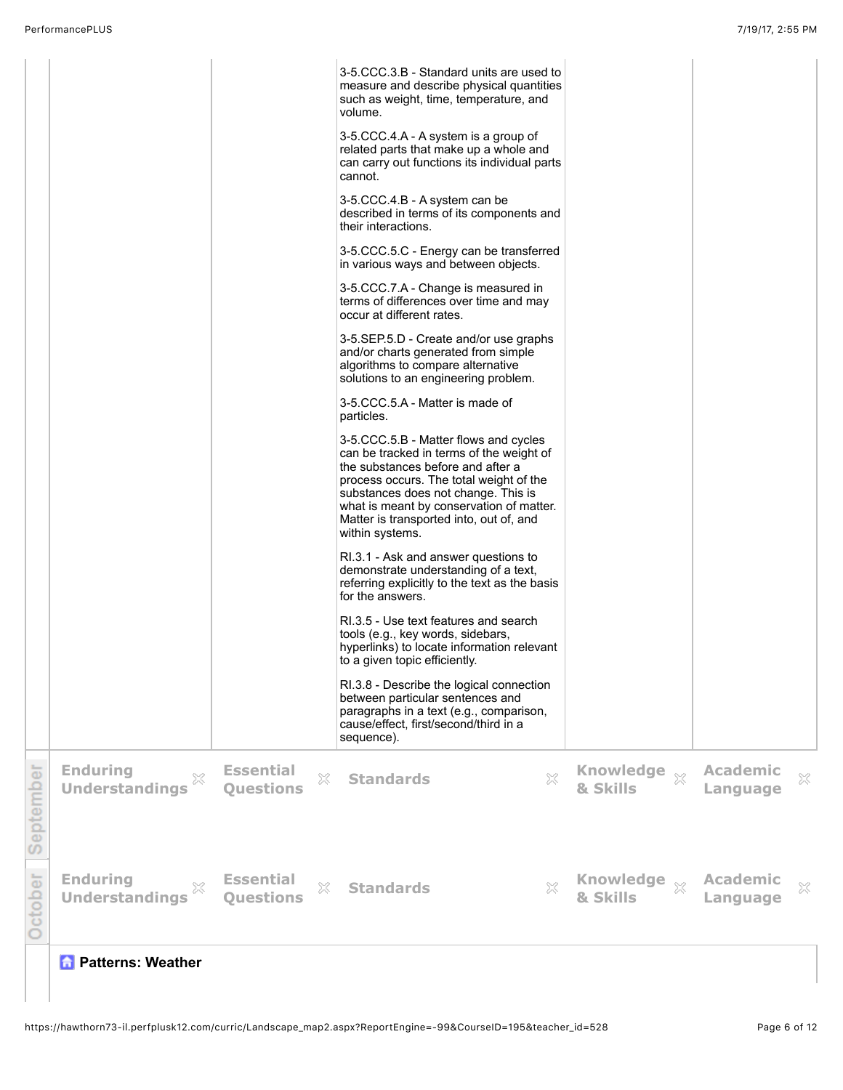|           |                                               |                                           | 3-5.CCC.3.B - Standard units are used to<br>measure and describe physical quantities<br>such as weight, time, temperature, and<br>volume.<br>3-5.CCC.4.A - A system is a group of<br>related parts that make up a whole and<br>can carry out functions its individual parts<br>cannot.<br>3-5.CCC.4.B - A system can be<br>described in terms of its components and<br>their interactions.<br>3-5.CCC.5.C - Energy can be transferred<br>in various ways and between objects.<br>3-5.CCC.7.A - Change is measured in<br>terms of differences over time and may<br>occur at different rates.<br>3-5.SEP.5.D - Create and/or use graphs<br>and/or charts generated from simple<br>algorithms to compare alternative<br>solutions to an engineering problem.<br>3-5.CCC.5.A - Matter is made of<br>particles.<br>3-5.CCC.5.B - Matter flows and cycles<br>can be tracked in terms of the weight of<br>the substances before and after a<br>process occurs. The total weight of the<br>substances does not change. This is<br>what is meant by conservation of matter.<br>Matter is transported into, out of, and<br>within systems.<br>RI.3.1 - Ask and answer questions to<br>demonstrate understanding of a text,<br>referring explicitly to the text as the basis<br>for the answers.<br>RI.3.5 - Use text features and search<br>tools (e.g., key words, sidebars,<br>hyperlinks) to locate information relevant<br>to a given topic efficiently.<br>RI.3.8 - Describe the logical connection<br>between particular sentences and<br>paragraphs in a text (e.g., comparison,<br>cause/effect, first/second/third in a<br>sequence). |                          |                             |   |
|-----------|-----------------------------------------------|-------------------------------------------|--------------------------------------------------------------------------------------------------------------------------------------------------------------------------------------------------------------------------------------------------------------------------------------------------------------------------------------------------------------------------------------------------------------------------------------------------------------------------------------------------------------------------------------------------------------------------------------------------------------------------------------------------------------------------------------------------------------------------------------------------------------------------------------------------------------------------------------------------------------------------------------------------------------------------------------------------------------------------------------------------------------------------------------------------------------------------------------------------------------------------------------------------------------------------------------------------------------------------------------------------------------------------------------------------------------------------------------------------------------------------------------------------------------------------------------------------------------------------------------------------------------------------------------------------------------------------------------------------------------------------------------|--------------------------|-----------------------------|---|
| September | <b>Enduring</b><br>×<br><b>Understandings</b> | <b>Essential</b><br>X<br><b>Questions</b> | X<br><b>Standards</b>                                                                                                                                                                                                                                                                                                                                                                                                                                                                                                                                                                                                                                                                                                                                                                                                                                                                                                                                                                                                                                                                                                                                                                                                                                                                                                                                                                                                                                                                                                                                                                                                                | Knowledge xx<br>& Skills | <b>Academic</b><br>Language | × |
| October   | <b>Enduring</b><br>X<br><b>Understandings</b> | <b>Essential</b><br>X<br><b>Questions</b> | $\boldsymbol{\mathsf{X}}$<br><b>Standards</b>                                                                                                                                                                                                                                                                                                                                                                                                                                                                                                                                                                                                                                                                                                                                                                                                                                                                                                                                                                                                                                                                                                                                                                                                                                                                                                                                                                                                                                                                                                                                                                                        | Knowledge xx<br>& Skills | <b>Academic</b><br>Language | × |

 **Patterns: Weather**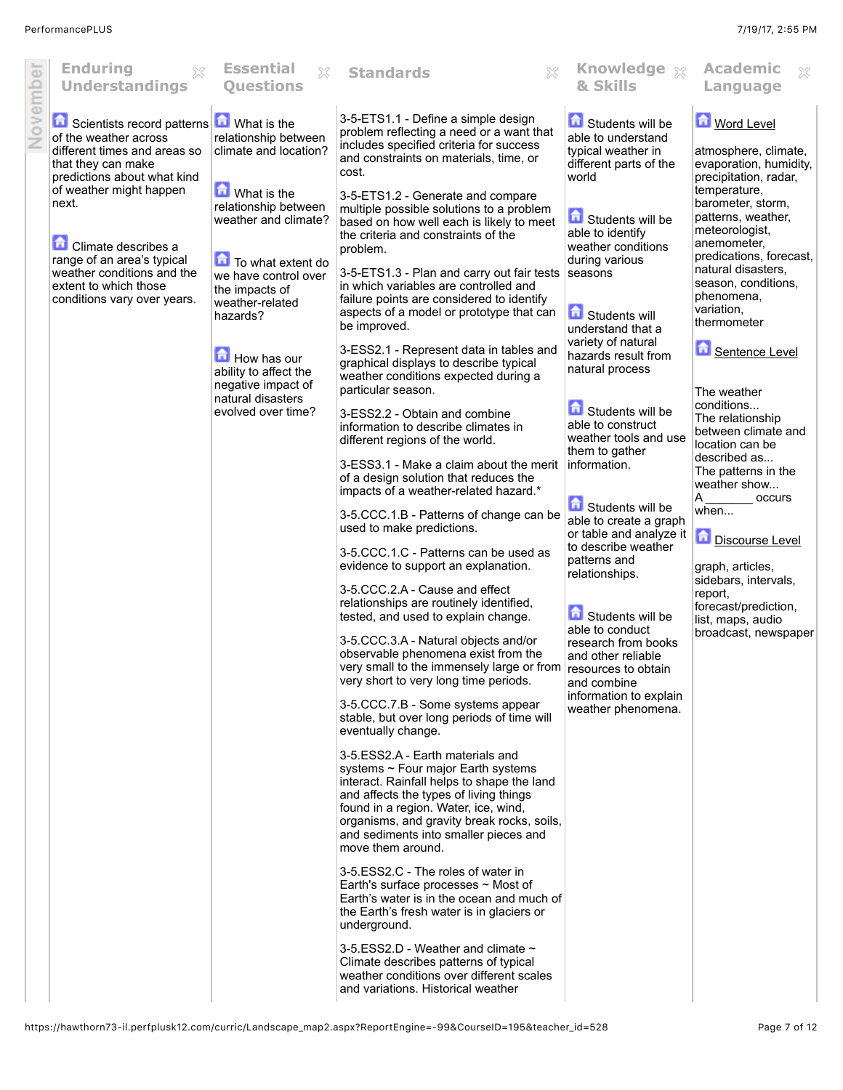|          | <b>Enduring</b><br>$\chi$<br><b>Understandings</b>                                                                                                                                       | <b>Essential</b><br>X<br><b>Questions</b>                                                  | X<br><b>Standards</b>                                                                                                                                                                                                                    | Knowledge xx<br>& Skills                                                                                   | <b>Academic</b><br>$\chi$<br>Language                                                                        |
|----------|------------------------------------------------------------------------------------------------------------------------------------------------------------------------------------------|--------------------------------------------------------------------------------------------|------------------------------------------------------------------------------------------------------------------------------------------------------------------------------------------------------------------------------------------|------------------------------------------------------------------------------------------------------------|--------------------------------------------------------------------------------------------------------------|
| November | Scientists record patterns <b>n</b> What is the<br>of the weather across<br>different times and areas so<br>that they can make<br>predictions about what kind<br>of weather might happen | relationship between<br>climate and location?<br><b>M</b> What is the                      | 3-5-ETS1.1 - Define a simple design<br>problem reflecting a need or a want that<br>includes specified criteria for success<br>and constraints on materials, time, or<br>cost.                                                            | Students will be<br>able to understand<br>typical weather in<br>different parts of the<br>world            | <b>Mord Level</b><br>atmosphere, climate,<br>evaporation, humidity,<br>precipitation, radar,<br>temperature, |
|          | next.<br><b>Climate describes a</b>                                                                                                                                                      | relationship between<br>weather and climate?                                               | 3-5-ETS1.2 - Generate and compare<br>multiple possible solutions to a problem<br>based on how well each is likely to meet<br>the criteria and constraints of the<br>problem.                                                             | Students will be<br>able to identify<br>weather conditions                                                 | barometer, storm,<br>patterns, weather,<br>meteorologist,<br>anemometer,<br>predications, forecast,          |
|          | range of an area's typical<br>weather conditions and the<br>extent to which those<br>conditions vary over years.                                                                         | To what extent do<br>we have control over<br>the impacts of<br>weather-related<br>hazards? | 3-5-ETS1.3 - Plan and carry out fair tests seasons<br>in which variables are controlled and<br>failure points are considered to identify<br>aspects of a model or prototype that can                                                     | during various<br><b>G</b> Students will                                                                   | natural disasters,<br>season, conditions,<br>phenomena,<br>variation,<br>thermometer                         |
|          |                                                                                                                                                                                          | How has our<br>ability to affect the<br>negative impact of                                 | be improved.<br>3-ESS2.1 - Represent data in tables and<br>graphical displays to describe typical<br>weather conditions expected during a                                                                                                | understand that a<br>variety of natural<br>hazards result from<br>natural process                          | Sentence Level                                                                                               |
|          |                                                                                                                                                                                          | natural disasters<br>evolved over time?                                                    | particular season.<br>3-ESS2.2 - Obtain and combine<br>information to describe climates in<br>different regions of the world.                                                                                                            | Students will be<br>able to construct<br>weather tools and use<br>them to gather                           | The weather<br>conditions<br>The relationship<br>between climate and<br>location can be                      |
|          |                                                                                                                                                                                          |                                                                                            | 3-ESS3.1 - Make a claim about the merit<br>of a design solution that reduces the<br>impacts of a weather-related hazard.*<br>3-5.CCC.1.B - Patterns of change can be                                                                     | information.<br>Students will be                                                                           | described as<br>The patterns in the<br>weather show<br>A<br>occurs<br>when                                   |
|          |                                                                                                                                                                                          |                                                                                            | used to make predictions.<br>3-5.CCC.1.C - Patterns can be used as<br>evidence to support an explanation.                                                                                                                                | able to create a graph<br>or table and analyze it<br>to describe weather<br>patterns and<br>relationships. | Discourse Level<br>graph, articles,<br>sidebars, intervals,                                                  |
|          |                                                                                                                                                                                          |                                                                                            | 3-5.CCC.2.A - Cause and effect<br>relationships are routinely identified,<br>tested, and used to explain change.<br>3-5.CCC.3.A - Natural objects and/or                                                                                 | 氙<br>Students will be<br>able to conduct<br>research from books                                            | report,<br>forecast/prediction,<br>list, maps, audio<br>broadcast, newspaper                                 |
|          |                                                                                                                                                                                          |                                                                                            | observable phenomena exist from the<br>very small to the immensely large or from<br>very short to very long time periods.<br>3-5.CCC.7.B - Some systems appear                                                                           | and other reliable<br>resources to obtain<br>and combine<br>information to explain<br>weather phenomena.   |                                                                                                              |
|          |                                                                                                                                                                                          |                                                                                            | stable, but over long periods of time will<br>eventually change.<br>3-5.ESS2.A - Earth materials and<br>systems $\sim$ Four major Earth systems                                                                                          |                                                                                                            |                                                                                                              |
|          |                                                                                                                                                                                          |                                                                                            | interact. Rainfall helps to shape the land<br>and affects the types of living things<br>found in a region. Water, ice, wind,<br>organisms, and gravity break rocks, soils,<br>and sediments into smaller pieces and<br>move them around. |                                                                                                            |                                                                                                              |
|          |                                                                                                                                                                                          |                                                                                            | 3-5.ESS2.C - The roles of water in<br>Earth's surface processes $\sim$ Most of<br>Earth's water is in the ocean and much of<br>the Earth's fresh water is in glaciers or<br>underground.                                                 |                                                                                                            |                                                                                                              |
|          |                                                                                                                                                                                          |                                                                                            | 3-5.ESS2.D - Weather and climate $\sim$<br>Climate describes patterns of typical<br>weather conditions over different scales<br>and variations. Historical weather                                                                       |                                                                                                            |                                                                                                              |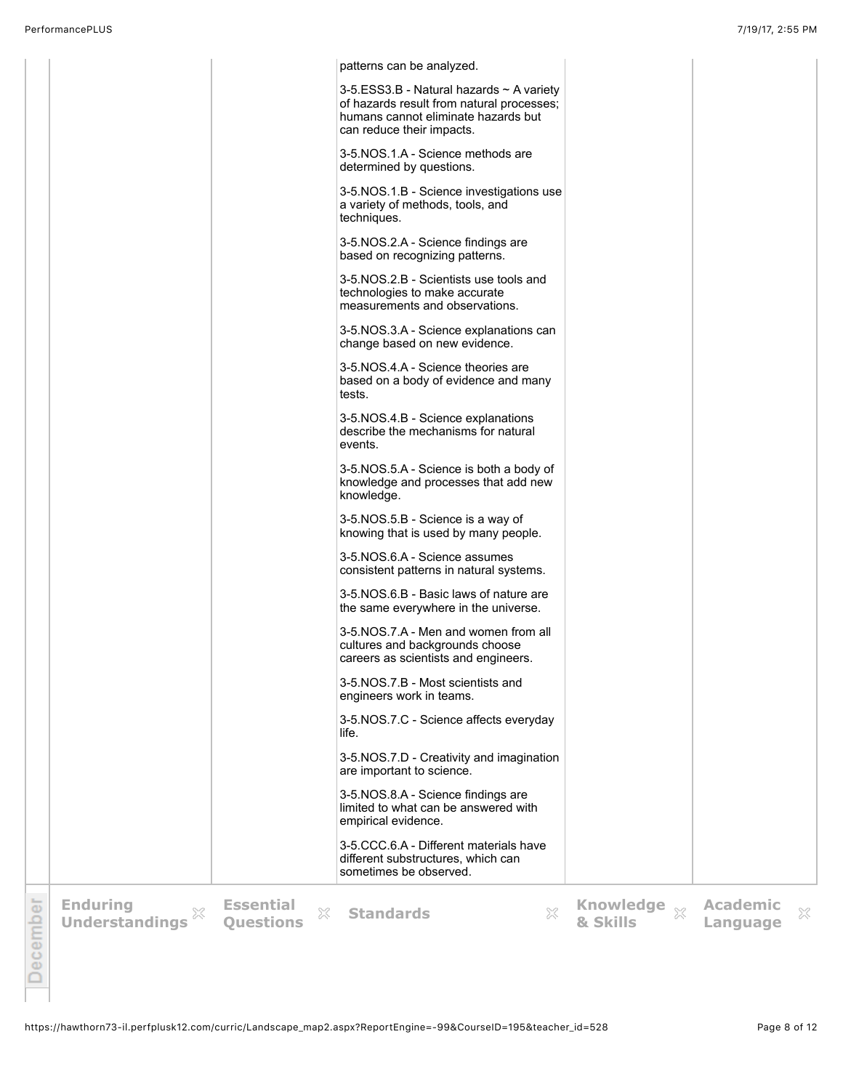|                 |                                               |                                           | patterns can be analyzed.                                                                                                                                      |                          |                             |   |
|-----------------|-----------------------------------------------|-------------------------------------------|----------------------------------------------------------------------------------------------------------------------------------------------------------------|--------------------------|-----------------------------|---|
|                 |                                               |                                           | 3-5.ESS3.B - Natural hazards $\sim$ A variety<br>of hazards result from natural processes;<br>humans cannot eliminate hazards but<br>can reduce their impacts. |                          |                             |   |
|                 |                                               |                                           | 3-5.NOS.1.A - Science methods are<br>determined by questions.                                                                                                  |                          |                             |   |
|                 |                                               |                                           | 3-5.NOS.1.B - Science investigations use<br>a variety of methods, tools, and<br>techniques.                                                                    |                          |                             |   |
|                 |                                               |                                           | 3-5.NOS.2.A - Science findings are<br>based on recognizing patterns.                                                                                           |                          |                             |   |
|                 |                                               |                                           | 3-5.NOS.2.B - Scientists use tools and<br>technologies to make accurate<br>measurements and observations.                                                      |                          |                             |   |
|                 |                                               |                                           | 3-5.NOS.3.A - Science explanations can<br>change based on new evidence.                                                                                        |                          |                             |   |
|                 |                                               |                                           | 3-5.NOS.4.A - Science theories are<br>based on a body of evidence and many<br>tests.                                                                           |                          |                             |   |
|                 |                                               |                                           | 3-5.NOS.4.B - Science explanations<br>describe the mechanisms for natural<br>events.                                                                           |                          |                             |   |
|                 |                                               |                                           | 3-5.NOS.5.A - Science is both a body of<br>knowledge and processes that add new<br>knowledge.                                                                  |                          |                             |   |
|                 |                                               |                                           | 3-5.NOS.5.B - Science is a way of<br>knowing that is used by many people.                                                                                      |                          |                             |   |
|                 |                                               |                                           | 3-5.NOS.6.A - Science assumes<br>consistent patterns in natural systems.                                                                                       |                          |                             |   |
|                 |                                               |                                           | 3-5.NOS.6.B - Basic laws of nature are<br>the same everywhere in the universe.                                                                                 |                          |                             |   |
|                 |                                               |                                           | 3-5.NOS.7.A - Men and women from all<br>cultures and backgrounds choose<br>careers as scientists and engineers.                                                |                          |                             |   |
|                 |                                               |                                           | 3-5.NOS.7.B - Most scientists and<br>engineers work in teams.                                                                                                  |                          |                             |   |
|                 |                                               |                                           | 3-5.NOS.7.C - Science affects everyday<br>life.                                                                                                                |                          |                             |   |
|                 |                                               |                                           | 3-5.NOS.7.D - Creativity and imagination<br>are important to science.                                                                                          |                          |                             |   |
|                 |                                               |                                           | 3-5.NOS.8.A - Science findings are<br>limited to what can be answered with<br>empirical evidence.                                                              |                          |                             |   |
|                 |                                               |                                           | 3-5.CCC.6.A - Different materials have<br>different substructures, which can<br>sometimes be observed.                                                         |                          |                             |   |
| <b>December</b> | <b>Enduring</b><br>X<br><b>Understandings</b> | <b>Essential</b><br>X<br><b>Ouestions</b> | $\gtrsim$<br><b>Standards</b>                                                                                                                                  | Knowledge xx<br>& Skills | <b>Academic</b><br>Language | X |
|                 |                                               |                                           |                                                                                                                                                                |                          |                             |   |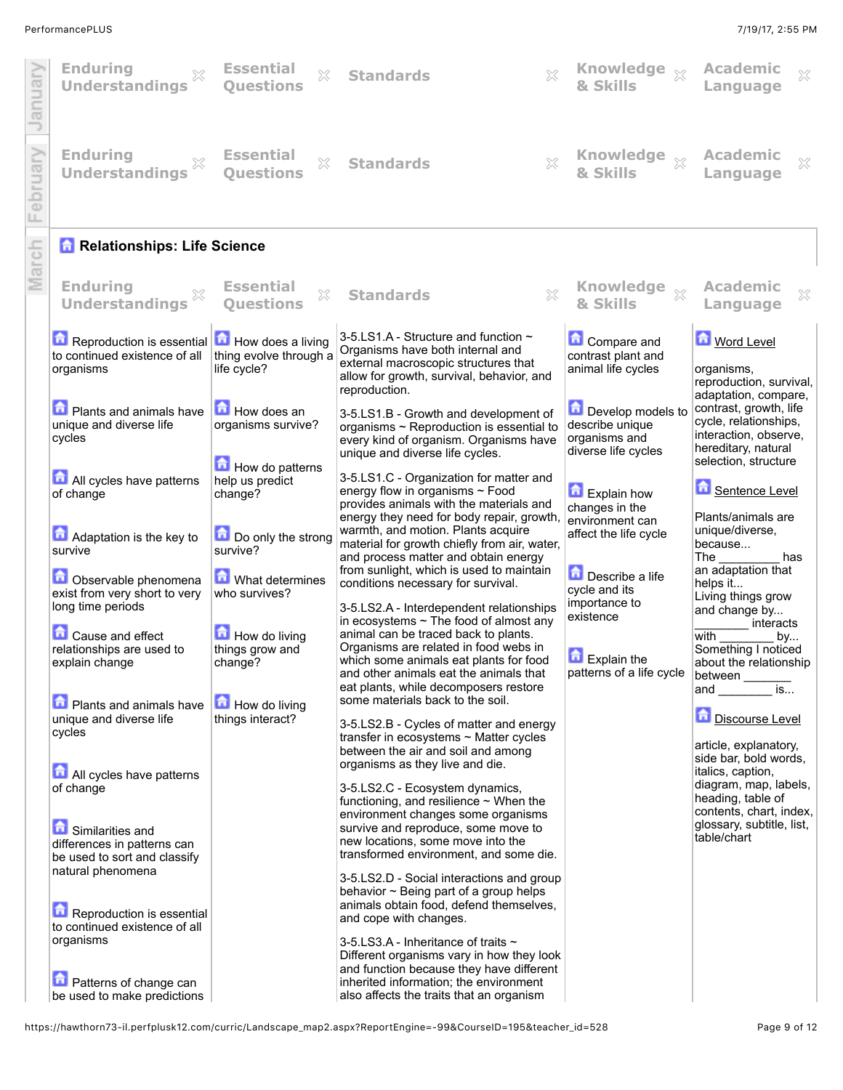## PerformancePLUS 7/19/17, 2:55 PM

| January      | <b>Enduring</b><br>$\gtrsim$<br><b>Understandings</b>                                                | <b>Essential</b><br>X<br><b>Ouestions</b>                  | X<br><b>Standards</b>                                                                                                                                                                                              | Knowledge xx<br>& Skills                                                     | <b>Academic</b><br>$\chi$<br>Language                                                                                   |
|--------------|------------------------------------------------------------------------------------------------------|------------------------------------------------------------|--------------------------------------------------------------------------------------------------------------------------------------------------------------------------------------------------------------------|------------------------------------------------------------------------------|-------------------------------------------------------------------------------------------------------------------------|
| ebruary<br>щ | <b>Enduring</b><br>X<br><b>Understandings</b>                                                        | <b>Essential</b><br>X<br><b>Ouestions</b>                  | X<br><b>Standards</b>                                                                                                                                                                                              | Knowledge xx<br>& Skills                                                     | <b>Academic</b><br>X<br>Language                                                                                        |
| March        | <b>n</b> Relationships: Life Science                                                                 |                                                            |                                                                                                                                                                                                                    |                                                                              |                                                                                                                         |
|              | <b>Enduring</b><br>×<br><b>Understandings</b>                                                        | <b>Essential</b><br>X<br><b>Ouestions</b>                  | $\gtrsim$<br><b>Standards</b>                                                                                                                                                                                      | Knowledge xx<br>& Skills                                                     | <b>Academic</b><br>×<br>Language                                                                                        |
|              | Reproduction is essential<br>to continued existence of all<br>organisms                              | How does a living<br>thing evolve through a<br>life cycle? | 3-5.LS1.A - Structure and function ~<br>Organisms have both internal and<br>external macroscopic structures that<br>allow for growth, survival, behavior, and<br>reproduction.                                     | <b>Compare and</b><br>contrast plant and<br>animal life cycles               | Word Level<br>organisms,<br>reproduction, survival,<br>adaptation, compare,                                             |
|              | <b>D</b> Plants and animals have<br>unique and diverse life<br>cycles                                | How does an<br>organisms survive?                          | 3-5.LS1.B - Growth and development of<br>organisms ~ Reproduction is essential to<br>every kind of organism. Organisms have<br>unique and diverse life cycles.                                                     | Develop models to<br>describe unique<br>organisms and<br>diverse life cycles | contrast, growth, life<br>cycle, relationships,<br>interaction, observe,<br>hereditary, natural<br>selection, structure |
|              | All cycles have patterns<br>of change                                                                | How do patterns<br>help us predict<br>change?              | 3-5.LS1.C - Organization for matter and<br>energy flow in organisms ~ Food<br>provides animals with the materials and<br>energy they need for body repair, growth,                                                 | <b>Explain how</b><br>changes in the<br>environment can                      | Sentence Level<br>Plants/animals are                                                                                    |
|              | <b>Adaptation is the key to</b><br>survive                                                           | Do only the strong<br>survive?                             | warmth, and motion. Plants acquire<br>material for growth chiefly from air, water,<br>and process matter and obtain energy                                                                                         | affect the life cycle                                                        | unique/diverse,<br>because<br>The<br>has                                                                                |
|              | Observable phenomena<br>exist from very short to very<br>long time periods                           | What determines<br>who survives?                           | from sunlight, which is used to maintain<br>conditions necessary for survival.<br>3-5.LS2.A - Interdependent relationships<br>in ecosystems $\sim$ The food of almost any                                          | Describe a life<br>cycle and its<br>importance to<br>existence               | an adaptation that<br>helps it<br>Living things grow<br>and change by<br>interacts                                      |
|              | <b>Q</b> Cause and effect<br>relationships are used to<br>explain change                             | How do living<br>things grow and<br>change?                | animal can be traced back to plants.<br>Organisms are related in food webs in<br>which some animals eat plants for food<br>and other animals eat the animals that<br>eat plants, while decomposers restore         | $\Box$ Explain the<br>patterns of a life cycle                               | with<br>by<br>Something I noticed<br>about the relationship<br>between<br>is                                            |
|              | <b>D</b> Plants and animals have<br>unique and diverse life<br>cycles                                | How do living<br>things interact?                          | some materials back to the soil.<br>3-5.LS2.B - Cycles of matter and energy<br>transfer in ecosystems ~ Matter cycles<br>between the air and soil and among                                                        |                                                                              | and<br><b>Discourse Level</b><br>article, explanatory,                                                                  |
|              | All cycles have patterns<br>of change                                                                |                                                            | organisms as they live and die.<br>3-5.LS2.C - Ecosystem dynamics,<br>functioning, and resilience $\sim$ When the                                                                                                  |                                                                              | side bar, bold words,<br>italics, caption,<br>diagram, map, labels,<br>heading, table of<br>contents, chart, index,     |
|              | Similarities and<br>differences in patterns can<br>be used to sort and classify<br>natural phenomena |                                                            | environment changes some organisms<br>survive and reproduce, some move to<br>new locations, some move into the<br>transformed environment, and some die.                                                           |                                                                              | glossary, subtitle, list,<br>table/chart                                                                                |
|              | Reproduction is essential<br>to continued existence of all                                           |                                                            | 3-5.LS2.D - Social interactions and group<br>behavior $\sim$ Being part of a group helps<br>animals obtain food, defend themselves,<br>and cope with changes.                                                      |                                                                              |                                                                                                                         |
|              | organisms<br><b>D</b> Patterns of change can<br>be used to make predictions                          |                                                            | 3-5.LS3.A - Inheritance of traits ~<br>Different organisms vary in how they look<br>and function because they have different<br>inherited information; the environment<br>also affects the traits that an organism |                                                                              |                                                                                                                         |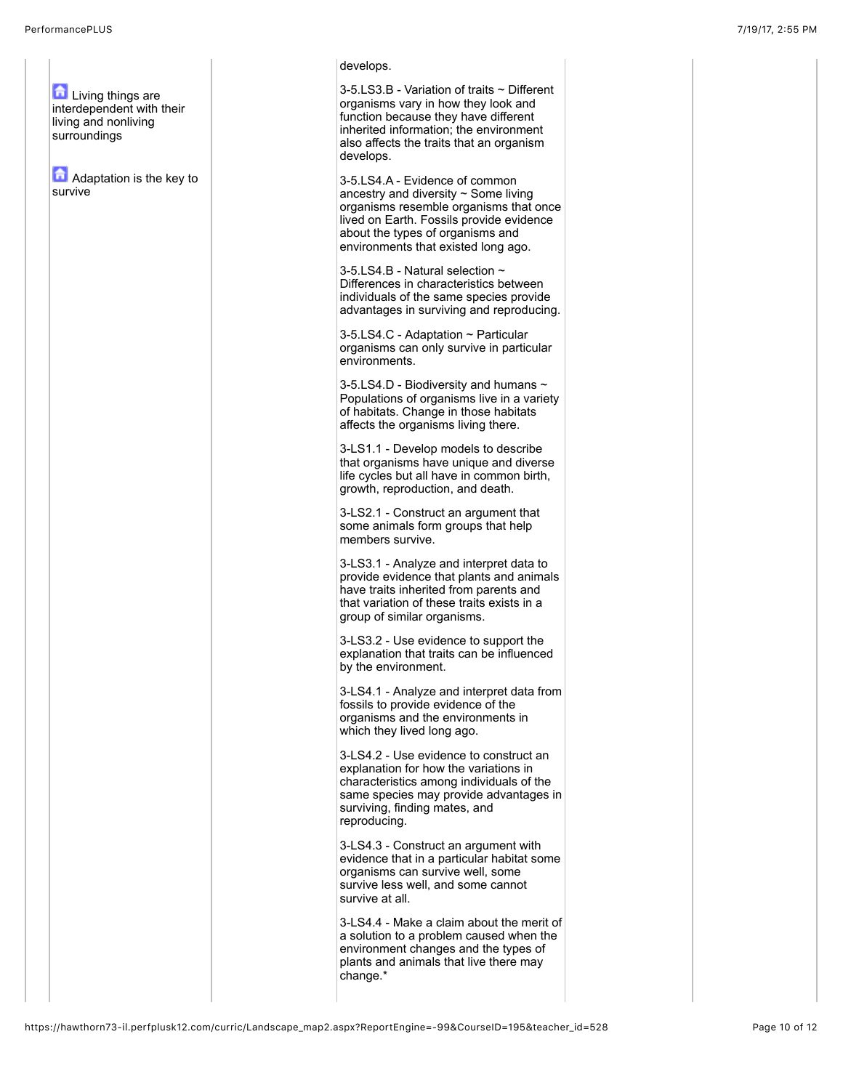surroundings

survive

**Living things are** interdependent with their living and nonliving **Adaptation is the key to** develops. 3-5.LS3.B - Variation of traits ~ Different organisms vary in how they look and function because they have different inherited information; the environment also affects the traits that an organism develops. 3-5.LS4.A - Evidence of common ancestry and diversity  $\sim$  Some living organisms resemble organisms that once lived on Earth. Fossils provide evidence about the types of organisms and environments that existed long ago. 3-5.LS4.B - Natural selection ~ Differences in characteristics between individuals of the same species provide advantages in surviving and reproducing. 3-5.LS4.C - Adaptation ~ Particular organisms can only survive in particular environments. 3-5.LS4.D - Biodiversity and humans ~ Populations of organisms live in a variety of habitats. Change in those habitats affects the organisms living there. 3-LS1.1 - Develop models to describe that organisms have unique and diverse life cycles but all have in common birth, growth, reproduction, and death. 3-LS2.1 - Construct an argument that some animals form groups that help members survive. 3-LS3.1 - Analyze and interpret data to provide evidence that plants and animals have traits inherited from parents and that variation of these traits exists in a group of similar organisms. 3-LS3.2 - Use evidence to support the explanation that traits can be influenced by the environment. 3-LS4.1 - Analyze and interpret data from fossils to provide evidence of the organisms and the environments in which they lived long ago. 3-LS4.2 - Use evidence to construct an explanation for how the variations in characteristics among individuals of the same species may provide advantages in surviving, finding mates, and reproducing. 3-LS4.3 - Construct an argument with evidence that in a particular habitat some organisms can survive well, some survive less well, and some cannot survive at all. 3-LS4.4 - Make a claim about the merit of a solution to a problem caused when the environment changes and the types of plants and animals that live there may change.\*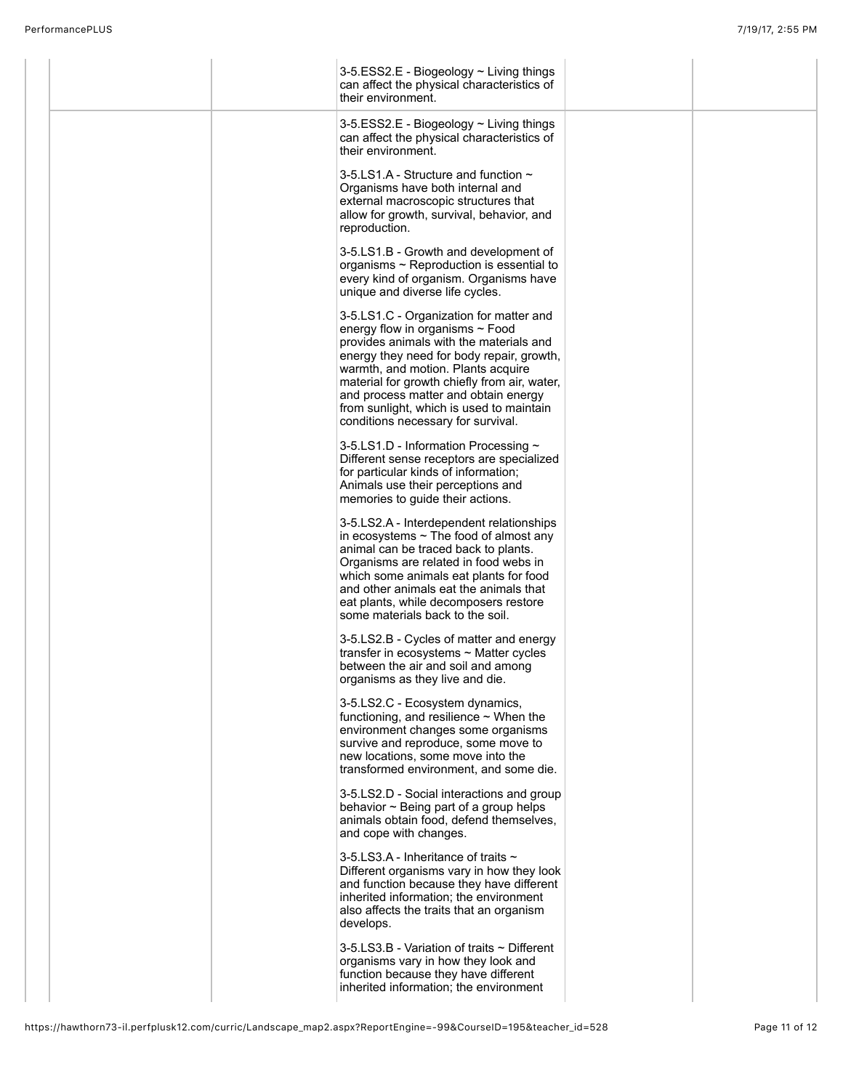|  | 3-5.ESS2.E - Biogeology ~ Living things<br>can affect the physical characteristics of<br>their environment.                                                                                                                                                                                                                                                                        |  |
|--|------------------------------------------------------------------------------------------------------------------------------------------------------------------------------------------------------------------------------------------------------------------------------------------------------------------------------------------------------------------------------------|--|
|  | 3-5.ESS2.E - Biogeology ~ Living things<br>can affect the physical characteristics of<br>their environment.                                                                                                                                                                                                                                                                        |  |
|  | 3-5.LS1.A - Structure and function $\sim$<br>Organisms have both internal and<br>external macroscopic structures that<br>allow for growth, survival, behavior, and<br>reproduction.                                                                                                                                                                                                |  |
|  | 3-5.LS1.B - Growth and development of<br>organisms $\sim$ Reproduction is essential to<br>every kind of organism. Organisms have<br>unique and diverse life cycles.                                                                                                                                                                                                                |  |
|  | 3-5.LS1.C - Organization for matter and<br>energy flow in organisms ~ Food<br>provides animals with the materials and<br>energy they need for body repair, growth,<br>warmth, and motion. Plants acquire<br>material for growth chiefly from air, water,<br>and process matter and obtain energy<br>from sunlight, which is used to maintain<br>conditions necessary for survival. |  |
|  | 3-5.LS1.D - Information Processing ~<br>Different sense receptors are specialized<br>for particular kinds of information;<br>Animals use their perceptions and<br>memories to guide their actions.                                                                                                                                                                                 |  |
|  | 3-5.LS2.A - Interdependent relationships<br>in ecosystems $\sim$ The food of almost any<br>animal can be traced back to plants.<br>Organisms are related in food webs in<br>which some animals eat plants for food<br>and other animals eat the animals that<br>eat plants, while decomposers restore<br>some materials back to the soil.                                          |  |
|  | 3-5.LS2.B - Cycles of matter and energy<br>transfer in ecosystems $\sim$ Matter cycles<br>between the air and soil and among<br>organisms as they live and die.                                                                                                                                                                                                                    |  |
|  | 3-5.LS2.C - Ecosystem dynamics,<br>functioning, and resilience $\sim$ When the<br>environment changes some organisms<br>survive and reproduce, some move to<br>new locations, some move into the<br>transformed environment, and some die.                                                                                                                                         |  |
|  | 3-5.LS2.D - Social interactions and group<br>behavior $\sim$ Being part of a group helps<br>animals obtain food, defend themselves,<br>and cope with changes.                                                                                                                                                                                                                      |  |
|  | 3-5.LS3.A - Inheritance of traits ~<br>Different organisms vary in how they look<br>and function because they have different<br>inherited information; the environment<br>also affects the traits that an organism<br>develops.                                                                                                                                                    |  |
|  | 3-5.LS3.B - Variation of traits ~ Different<br>organisms vary in how they look and<br>function because they have different<br>inherited information; the environment                                                                                                                                                                                                               |  |